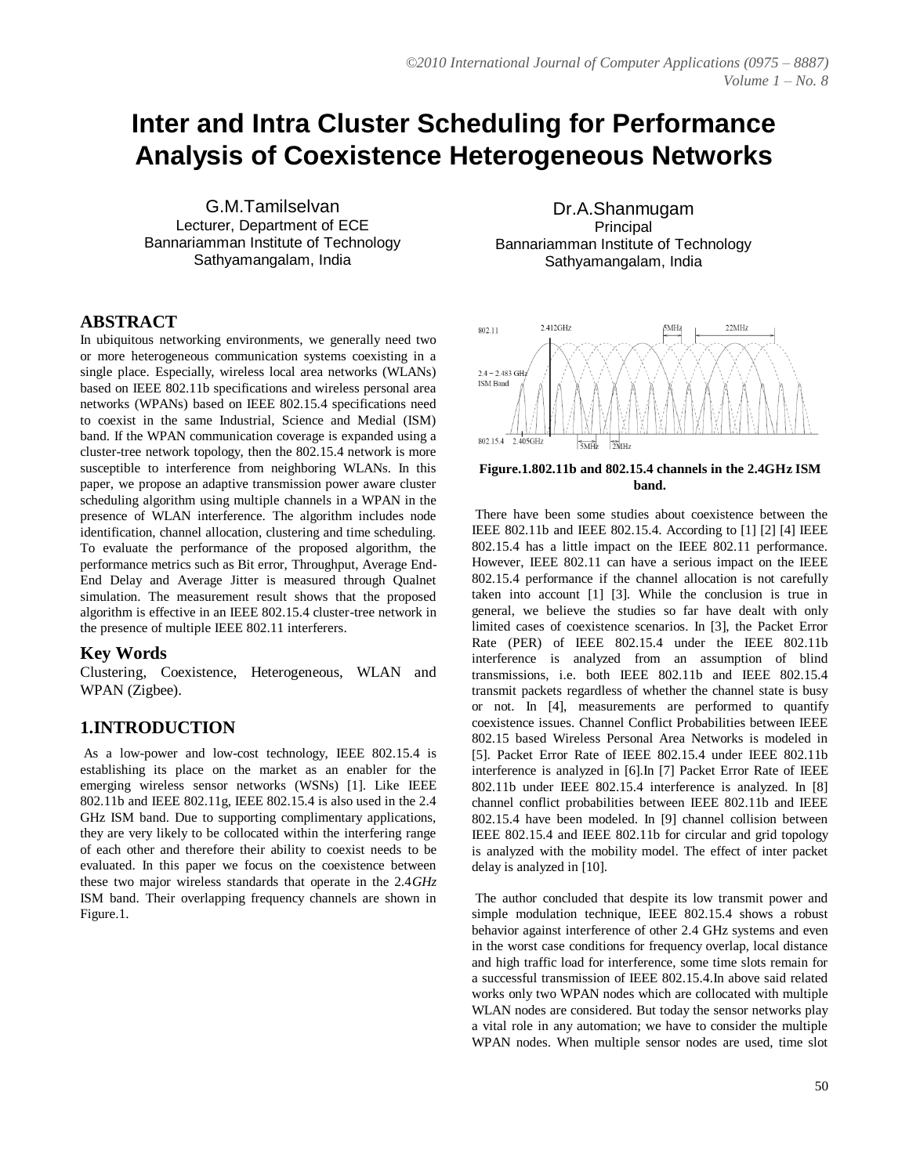# **Inter and Intra Cluster Scheduling for Performance Analysis of Coexistence Heterogeneous Networks**

G.M.Tamilselvan Lecturer, Department of ECE Bannariamman Institute of Technology Sathyamangalam, India

#### **ABSTRACT**

In ubiquitous networking environments, we generally need two or more heterogeneous communication systems coexisting in a single place. Especially, wireless local area networks (WLANs) based on IEEE 802.11b specifications and wireless personal area networks (WPANs) based on IEEE 802.15.4 specifications need to coexist in the same Industrial, Science and Medial (ISM) band. If the WPAN communication coverage is expanded using a cluster-tree network topology, then the 802.15.4 network is more susceptible to interference from neighboring WLANs. In this paper, we propose an adaptive transmission power aware cluster scheduling algorithm using multiple channels in a WPAN in the presence of WLAN interference. The algorithm includes node identification, channel allocation, clustering and time scheduling. To evaluate the performance of the proposed algorithm, the performance metrics such as Bit error, Throughput, Average End-End Delay and Average Jitter is measured through Qualnet simulation. The measurement result shows that the proposed algorithm is effective in an IEEE 802.15.4 cluster-tree network in the presence of multiple IEEE 802.11 interferers.

#### **Key Words**

Clustering, Coexistence, Heterogeneous, WLAN and WPAN (Zigbee).

#### **1.INTRODUCTION**

As a low-power and low-cost technology, IEEE 802.15.4 is establishing its place on the market as an enabler for the emerging wireless sensor networks (WSNs) [1]. Like IEEE 802.11b and IEEE 802.11g, IEEE 802.15.4 is also used in the 2.4 GHz ISM band. Due to supporting complimentary applications, they are very likely to be collocated within the interfering range of each other and therefore their ability to coexist needs to be evaluated. In this paper we focus on the coexistence between these two major wireless standards that operate in the 2.4*GHz*  ISM band. Their overlapping frequency channels are shown in Figure.1.

Dr.A.Shanmugam **Principal** Bannariamman Institute of Technology Sathyamangalam, India



**Figure.1.802.11b and 802.15.4 channels in the 2.4GHz ISM band.**

There have been some studies about coexistence between the IEEE 802.11b and IEEE 802.15.4. According to [1] [2] [4] IEEE 802.15.4 has a little impact on the IEEE 802.11 performance. However, IEEE 802.11 can have a serious impact on the IEEE 802.15.4 performance if the channel allocation is not carefully taken into account [1] [3]. While the conclusion is true in general, we believe the studies so far have dealt with only limited cases of coexistence scenarios. In [3], the Packet Error Rate (PER) of IEEE 802.15.4 under the IEEE 802.11b interference is analyzed from an assumption of blind transmissions, i.e. both IEEE 802.11b and IEEE 802.15.4 transmit packets regardless of whether the channel state is busy or not. In [4], measurements are performed to quantify coexistence issues. Channel Conflict Probabilities between IEEE 802.15 based Wireless Personal Area Networks is modeled in [5]. Packet Error Rate of IEEE 802.15.4 under IEEE 802.11b interference is analyzed in [6].In [7] Packet Error Rate of IEEE 802.11b under IEEE 802.15.4 interference is analyzed. In [8] channel conflict probabilities between IEEE 802.11b and IEEE 802.15.4 have been modeled. In [9] channel collision between IEEE 802.15.4 and IEEE 802.11b for circular and grid topology is analyzed with the mobility model. The effect of inter packet delay is analyzed in [10].

The author concluded that despite its low transmit power and simple modulation technique, IEEE 802.15.4 shows a robust behavior against interference of other 2.4 GHz systems and even in the worst case conditions for frequency overlap, local distance and high traffic load for interference, some time slots remain for a successful transmission of IEEE 802.15.4.In above said related works only two WPAN nodes which are collocated with multiple WLAN nodes are considered. But today the sensor networks play a vital role in any automation; we have to consider the multiple WPAN nodes. When multiple sensor nodes are used, time slot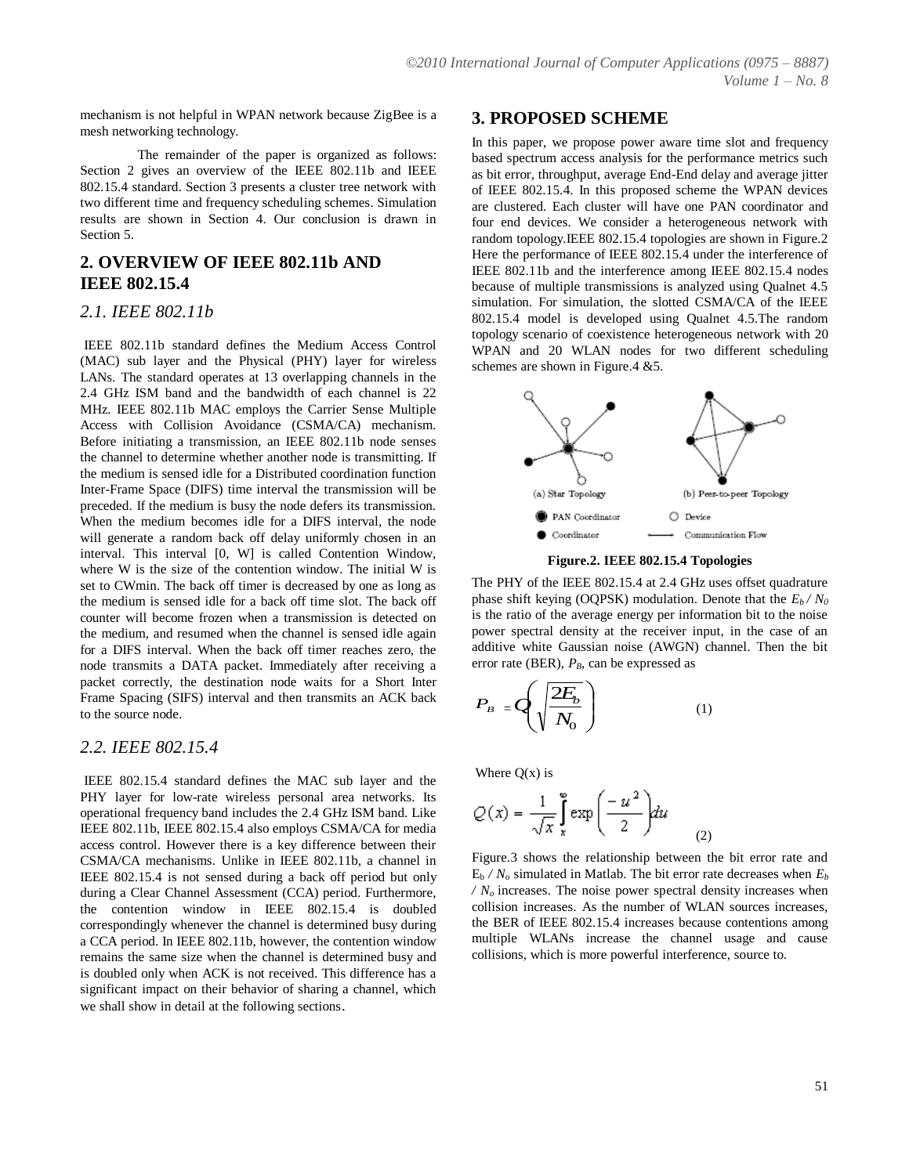mechanism is not helpful in WPAN network because ZigBee is a mesh networking technology.

The remainder of the paper is organized as follows: Section 2 gives an overview of the IEEE 802.11b and IEEE 802.15.4 standard. Section 3 presents a cluster tree network with two different time and frequency scheduling schemes. Simulation results are shown in Section 4. Our conclusion is drawn in Section 5.

## **2. OVERVIEW OF IEEE 802.11b AND IEEE 802.15.4**

#### *2.1. IEEE 802.11b*

IEEE 802.11b standard defines the Medium Access Control (MAC) sub layer and the Physical (PHY) layer for wireless LANs. The standard operates at 13 overlapping channels in the 2.4 GHz ISM band and the bandwidth of each channel is 22 MHz. IEEE 802.11b MAC employs the Carrier Sense Multiple Access with Collision Avoidance (CSMA/CA) mechanism. Before initiating a transmission, an IEEE 802.11b node senses the channel to determine whether another node is transmitting. If the medium is sensed idle for a Distributed coordination function Inter-Frame Space (DIFS) time interval the transmission will be preceded. If the medium is busy the node defers its transmission. When the medium becomes idle for a DIFS interval, the node will generate a random back off delay uniformly chosen in an interval. This interval [0, W] is called Contention Window, where W is the size of the contention window. The initial W is set to CWmin. The back off timer is decreased by one as long as the medium is sensed idle for a back off time slot. The back off counter will become frozen when a transmission is detected on the medium, and resumed when the channel is sensed idle again for a DIFS interval. When the back off timer reaches zero, the node transmits a DATA packet. Immediately after receiving a packet correctly, the destination node waits for a Short Inter Frame Spacing (SIFS) interval and then transmits an ACK back to the source node.

#### *2.2. IEEE 802.15.4*

IEEE 802.15.4 standard defines the MAC sub layer and the PHY layer for low-rate wireless personal area networks. Its operational frequency band includes the 2.4 GHz ISM band. Like IEEE 802.11b, IEEE 802.15.4 also employs CSMA/CA for media access control. However there is a key difference between their CSMA/CA mechanisms. Unlike in IEEE 802.11b, a channel in IEEE 802.15.4 is not sensed during a back off period but only during a Clear Channel Assessment (CCA) period. Furthermore, the contention window in IEEE 802.15.4 is doubled correspondingly whenever the channel is determined busy during a CCA period. In IEEE 802.11b, however, the contention window remains the same size when the channel is determined busy and is doubled only when ACK is not received. This difference has a significant impact on their behavior of sharing a channel, which we shall show in detail at the following sections.

#### **3. PROPOSED SCHEME**

In this paper, we propose power aware time slot and frequency based spectrum access analysis for the performance metrics such as bit error, throughput, average End-End delay and average jitter of IEEE 802.15.4. In this proposed scheme the WPAN devices are clustered. Each cluster will have one PAN coordinator and four end devices. We consider a heterogeneous network with random topology.IEEE 802.15.4 topologies are shown in Figure.2 Here the performance of IEEE 802.15.4 under the interference of IEEE 802.11b and the interference among IEEE 802.15.4 nodes because of multiple transmissions is analyzed using Qualnet 4.5 simulation. For simulation, the slotted CSMA/CA of the IEEE 802.15.4 model is developed using Qualnet 4.5.The random topology scenario of coexistence heterogeneous network with 20 WPAN and 20 WLAN nodes for two different scheduling schemes are shown in Figure.4 &5.



**Figure.2. IEEE 802.15.4 Topologies**

The PHY of the IEEE 802.15.4 at 2.4 GHz uses offset quadrature phase shift keying (OQPSK) modulation. Denote that the  $E_b / N_0$ is the ratio of the average energy per information bit to the noise power spectral density at the receiver input, in the case of an additive white Gaussian noise (AWGN) channel. Then the bit error rate (BER),  $P_B$ , can be expressed as

$$
P_B = Q \left( \sqrt{\frac{2E_b}{N_0}} \right) \tag{1}
$$

Where  $Q(x)$  is

$$
Q(x) = \frac{1}{\sqrt{x}} \int_{x}^{\infty} \exp\left(\frac{-u^2}{2}\right) du \tag{2}
$$

Figure.3 shows the relationship between the bit error rate and  $E_b$  */ N<sub>o</sub>* simulated in Matlab. The bit error rate decreases when  $E_b$  $/N<sub>o</sub>$  increases. The noise power spectral density increases when collision increases. As the number of WLAN sources increases, the BER of IEEE 802.15.4 increases because contentions among multiple WLANs increase the channel usage and cause collisions, which is more powerful interference, source to.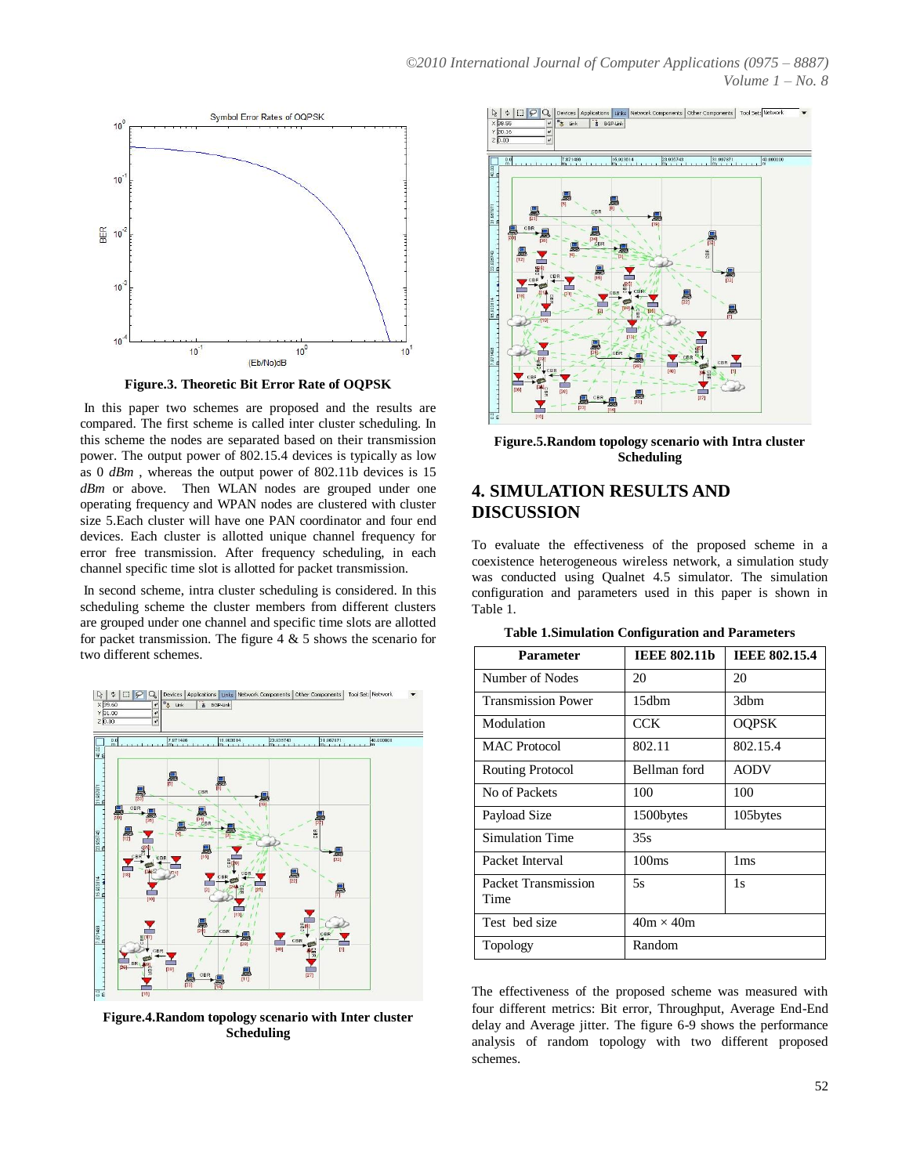

**Figure.3. Theoretic Bit Error Rate of OQPSK**

In this paper two schemes are proposed and the results are compared. The first scheme is called inter cluster scheduling. In this scheme the nodes are separated based on their transmission power. The output power of 802.15.4 devices is typically as low as 0 *dBm* , whereas the output power of 802.11b devices is 15 *dBm* or above. Then WLAN nodes are grouped under one operating frequency and WPAN nodes are clustered with cluster size 5.Each cluster will have one PAN coordinator and four end devices. Each cluster is allotted unique channel frequency for error free transmission. After frequency scheduling, in each channel specific time slot is allotted for packet transmission.

In second scheme, intra cluster scheduling is considered. In this scheduling scheme the cluster members from different clusters are grouped under one channel and specific time slots are allotted for packet transmission. The figure  $4 \& 5$  shows the scenario for two different schemes.



**Figure.4.Random topology scenario with Inter cluster Scheduling**



**Figure.5.Random topology scenario with Intra cluster Scheduling**

# **4. SIMULATION RESULTS AND DISCUSSION**

To evaluate the effectiveness of the proposed scheme in a coexistence heterogeneous wireless network, a simulation study was conducted using Qualnet 4.5 simulator. The simulation configuration and parameters used in this paper is shown in Table 1.

| <b>Parameter</b>            | <b>IEEE 802.11b</b> | <b>IEEE 802.15.4</b> |
|-----------------------------|---------------------|----------------------|
| Number of Nodes             | 20                  | 20                   |
| <b>Transmission Power</b>   | 15dbm               | 3dbm                 |
| Modulation                  | CCK.                | <b>OQPSK</b>         |
| MAC Protocol                | 802.11              | 802.15.4             |
| Routing Protocol            | Bellman ford        | <b>AODV</b>          |
| No of Packets               | 100                 | 100                  |
| Payload Size                | 1500bytes           | 105bytes             |
| Simulation Time             | 35s                 |                      |
| Packet Interval             | 100 <sub>ms</sub>   | 1 <sub>ms</sub>      |
| Packet Transmission<br>Time | 5s                  | 1s                   |
| Test bed size               | $40m \times 40m$    |                      |
| Topology                    | Random              |                      |

**Table 1.Simulation Configuration and Parameters**

The effectiveness of the proposed scheme was measured with four different metrics: Bit error, Throughput, Average End-End delay and Average jitter. The figure 6-9 shows the performance analysis of random topology with two different proposed schemes.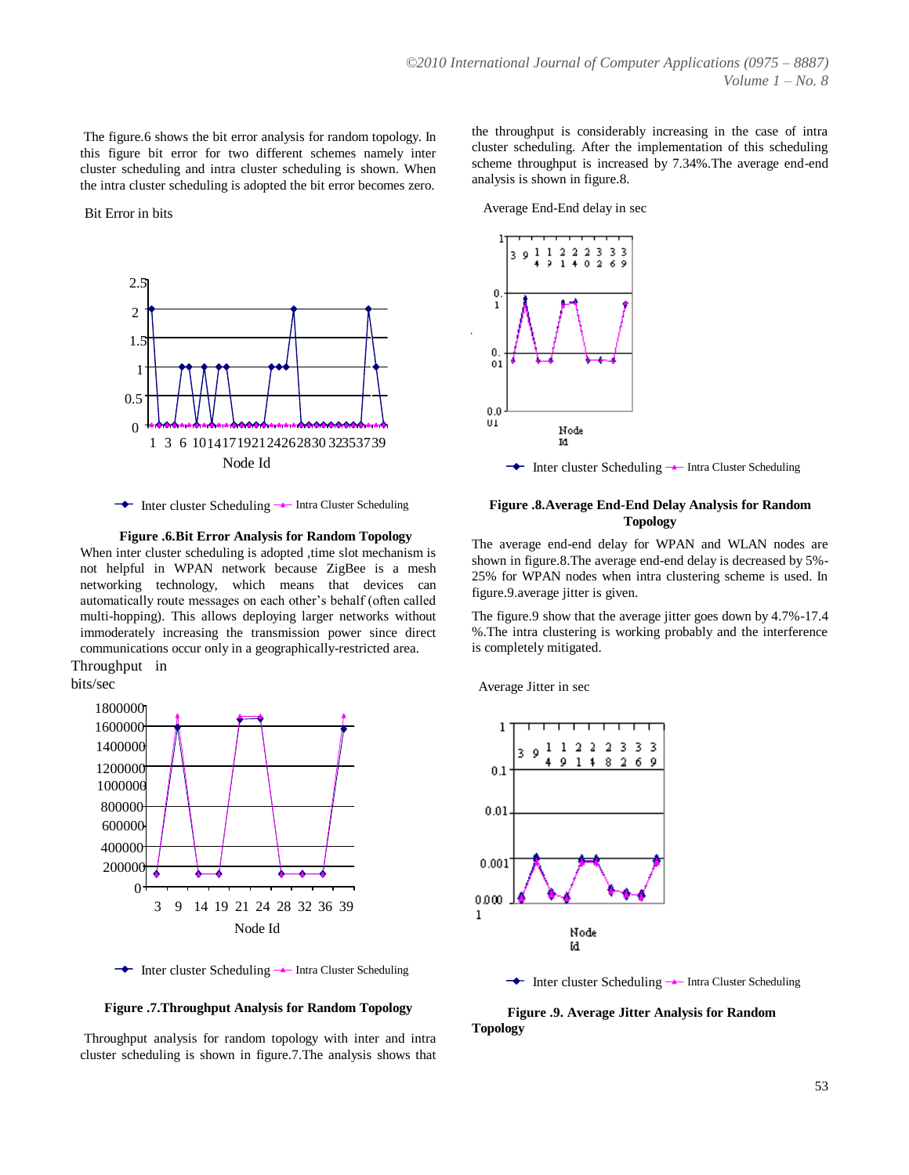The figure.6 shows the bit error analysis for random topology. In this figure bit error for two different schemes namely inter cluster scheduling and intra cluster scheduling is shown. When the intra cluster scheduling is adopted the bit error becomes zero.



 $\rightarrow$  Inter cluster Scheduling  $\rightarrow$  Intra Cluster Scheduling

**Figure .6.Bit Error Analysis for Random Topology**

When inter cluster scheduling is adopted , time slot mechanism is not helpful in WPAN network because ZigBee is a mesh networking technology, which means that devices can automatically route messages on each other's behalf (often called multi-hopping). This allows deploying larger networks without immoderately increasing the transmission power since direct communications occur only in a geographically-restricted area.

Throughput in bits/sec



← Inter cluster Scheduling → Intra Cluster Scheduling

**Figure .7.Throughput Analysis for Random Topology**

Throughput analysis for random topology with inter and intra cluster scheduling is shown in figure.7.The analysis shows that the throughput is considerably increasing in the case of intra cluster scheduling. After the implementation of this scheduling scheme throughput is increased by 7.34%.The average end-end analysis is shown in figure.8.

Bit Error in bits Average End-End delay in sec



#### **Figure .8.Average End-End Delay Analysis for Random Topology**

The average end-end delay for WPAN and WLAN nodes are shown in figure.8.The average end-end delay is decreased by 5%- 25% for WPAN nodes when intra clustering scheme is used. In figure.9.average jitter is given.

The figure.9 show that the average jitter goes down by 4.7%-17.4 %.The intra clustering is working probably and the interference is completely mitigated.

Average Jitter in sec



 $\rightarrow$  Inter cluster Scheduling  $\rightarrow$  Intra Cluster Scheduling

 **Figure .9. Average Jitter Analysis for Random Topology**